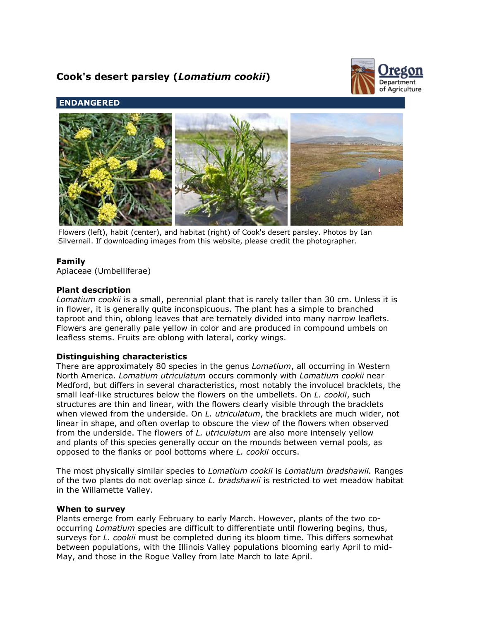# **Cook's desert parsley (***Lomatium cookii***)**



# **ENDANGERED**



Flowers (left), habit (center), and habitat (right) of Cook's desert parsley. Photos by Ian Silvernail. If downloading images from this website, please credit the photographer.

# **Family**

Apiaceae (Umbelliferae)

## **Plant description**

*Lomatium cookii* is a small, perennial plant that is rarely taller than 30 cm. Unless it is in flower, it is generally quite inconspicuous. The plant has a simple to branched taproot and thin, oblong leaves that are ternately divided into many narrow leaflets. Flowers are generally pale yellow in color and are produced in compound umbels on leafless stems. Fruits are oblong with lateral, corky wings.

## **Distinguishing characteristics**

There are approximately 80 species in the genus *Lomatium*, all occurring in Western North America. *Lomatium utriculatum* occurs commonly with *Lomatium cookii* near Medford, but differs in several characteristics, most notably the involucel bracklets, the small leaf-like structures below the flowers on the umbellets. On *L. cookii*, such structures are thin and linear, with the flowers clearly visible through the bracklets when viewed from the underside. On *L. utriculatum*, the bracklets are much wider, not linear in shape, and often overlap to obscure the view of the flowers when observed from the underside. The flowers of *L. utriculatum* are also more intensely yellow and plants of this species generally occur on the mounds between vernal pools, as opposed to the flanks or pool bottoms where *L. cookii* occurs.

The most physically similar species to *Lomatium cookii* is *Lomatium bradshawii.* Ranges of the two plants do not overlap since *L. bradshawii* is restricted to wet meadow habitat in the Willamette Valley.

## **When to survey**

Plants emerge from early February to early March. However, plants of the two cooccurring *Lomatium* species are difficult to differentiate until flowering begins, thus, surveys for *L. cookii* must be completed during its bloom time. This differs somewhat between populations, with the Illinois Valley populations blooming early April to mid-May, and those in the Rogue Valley from late March to late April.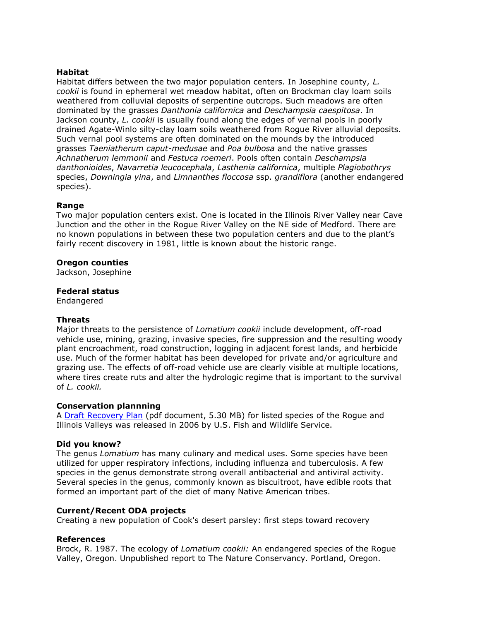## **Habitat**

Habitat differs between the two major population centers. In Josephine county, *L. cookii* is found in ephemeral wet meadow habitat, often on Brockman clay loam soils weathered from colluvial deposits of serpentine outcrops. Such meadows are often dominated by the grasses *Danthonia californica* and *Deschampsia caespitosa*. In Jackson county, *L. cookii* is usually found along the edges of vernal pools in poorly drained Agate-Winlo silty-clay loam soils weathered from Rogue River alluvial deposits. Such vernal pool systems are often dominated on the mounds by the introduced grasses *Taeniatherum caput-medusae* and *Poa bulbosa* and the native grasses *Achnatherum lemmonii* and *Festuca roemeri*. Pools often contain *Deschampsia danthonioides*, *Navarretia leucocephala*, *Lasthenia californica*, multiple *Plagiobothrys* species, *Downingia yina*, and *Limnanthes floccosa* ssp. *grandiflora* (another endangered species).

## **Range**

Two major population centers exist. One is located in the Illinois River Valley near Cave Junction and the other in the Rogue River Valley on the NE side of Medford. There are no known populations in between these two population centers and due to the plant's fairly recent discovery in 1981, little is known about the historic range.

## **Oregon counties**

Jackson, Josephine

## **Federal status**

Endangered

## **Threats**

Major threats to the persistence of *Lomatium cookii* include development, off-road vehicle use, mining, grazing, invasive species, fire suppression and the resulting woody plant encroachment, road construction, logging in adjacent forest lands, and herbicide use. Much of the former habitat has been developed for private and/or agriculture and grazing use. The effects of off-road vehicle use are clearly visible at multiple locations, where tires create ruts and alter the hydrologic regime that is important to the survival of *L. cookii.*

## **Conservation plannning**

A [Draft Recovery Plan](http://ecos.fws.gov/docs/recovery_plans/2006/060922.pdf) (pdf document, 5.30 MB) for listed species of the Rogue and Illinois Valleys was released in 2006 by U.S. Fish and Wildlife Service.

## **Did you know?**

The genus *Lomatium* has many culinary and medical uses. Some species have been utilized for upper respiratory infections, including influenza and tuberculosis. A few species in the genus demonstrate strong overall antibacterial and antiviral activity. Several species in the genus, commonly known as biscuitroot, have edible roots that formed an important part of the diet of many Native American tribes.

## **Current/Recent ODA projects**

Creating a new population of Cook's desert parsley: first steps toward recovery

## **References**

Brock, R. 1987. The ecology of *Lomatium cookii:* An endangered species of the Rogue Valley, Oregon. Unpublished report to The Nature Conservancy. Portland, Oregon.